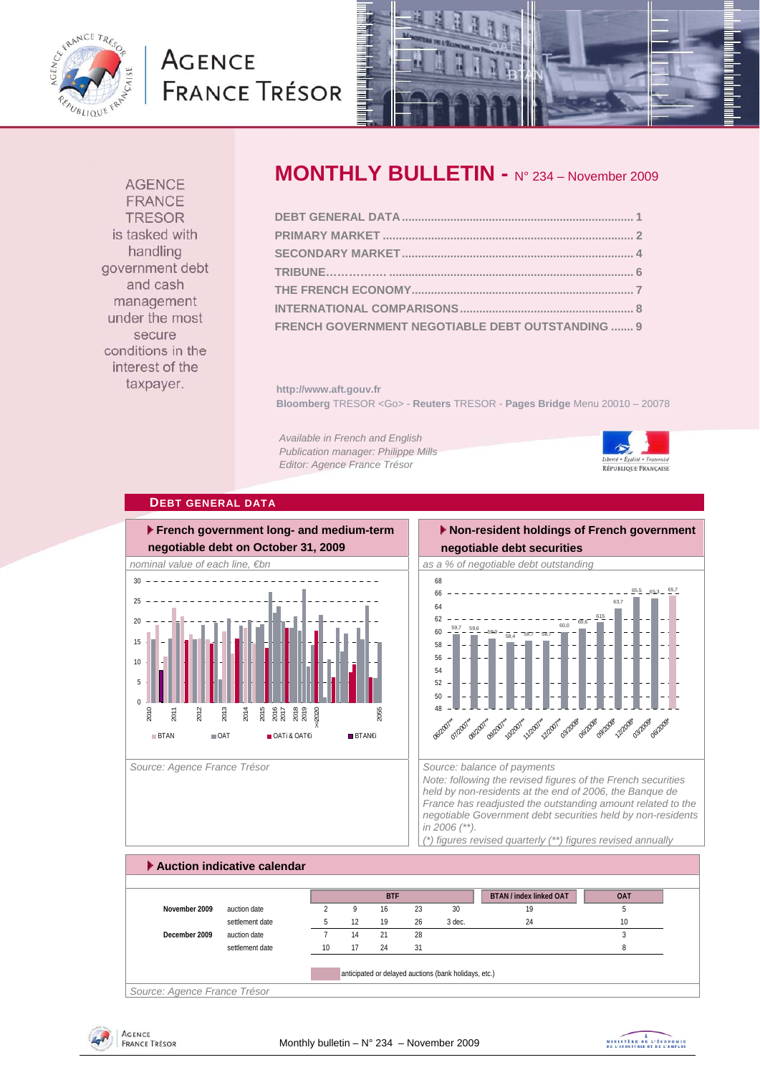

# **AGENCE FRANCE TRÉSOR**



**AGENCE FRANCE TRESOR** is tasked with handling government debt and cash management under the most secure conditions in the interest of the taxpayer.

# **MONTHLY BULLETIN -** N° 234 – November 2009

| FRENCH GOVERNMENT NEGOTIABLE DEBT OUTSTANDING  9 |  |
|--------------------------------------------------|--|

**http://www.aft.gouv.fr Bloomberg** TRESOR <Go> - **Reuters** TRESOR - **Pages Bridge** Menu 20010 – 20078

*Available in French and English Publication manager: Philippe Mills Editor: Agence France Trésor* 



#### **DEBT GENERAL DATA**



Source: Agence France Trésor **Source: balance of payments** Source: balance of payments

### **Non-resident holdings of French government negotiable debt securities**



*Note: following the revised figures of the French securities held by non-residents at the end of 2006, the Banque de France has readjusted the outstanding amount related to the negotiable Government debt securities held by non-residents in 2006 (\*\*).* 

*(\*) figures revised quarterly (\*\*) figures revised annually* 

# **Auction indicative calendar BTAN / index linked OAT OAT November 2009** auction date 2 9 16 23 30 19 19 5 settlement date **5** 12 19 26 3 dec. 24 24 10 **December 2009** auction date **7** 14 21 28 3 3 settlement date 10 17 24 31 8 anticipated or delayed auctions (bank holidays, etc.) **BTF**

*Source: Agence France Trésor* 



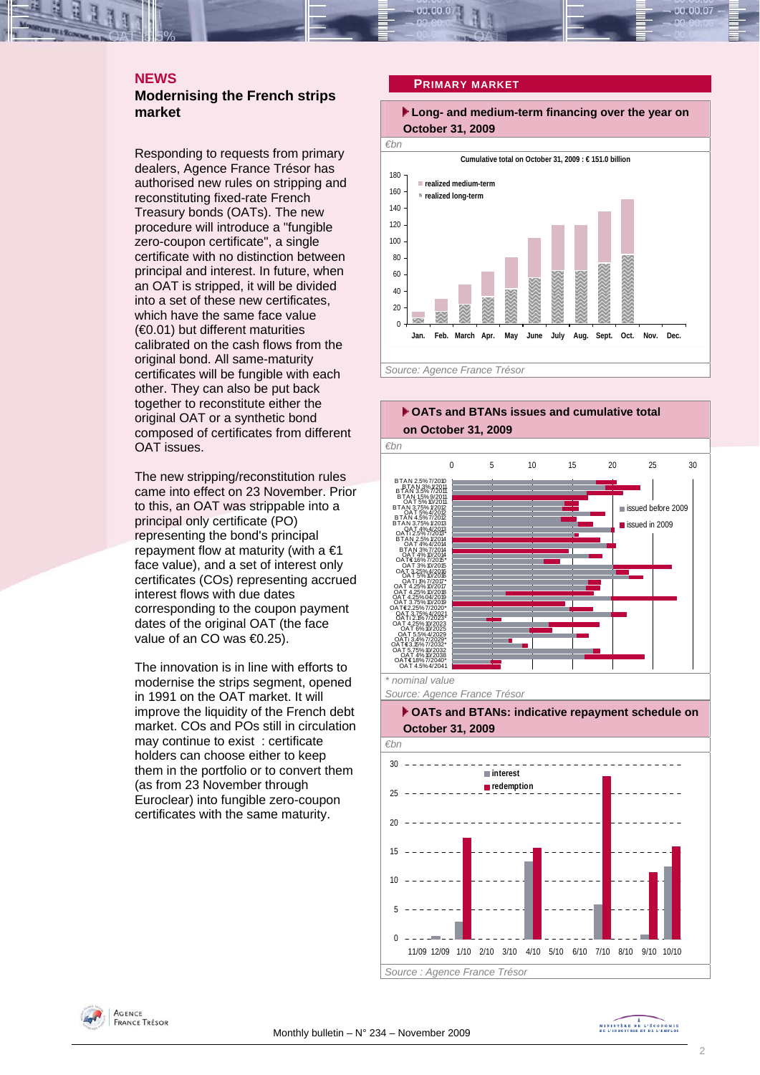# **NEWS**

# **Modernising the French strips market**

Responding to requests from primary dealers, Agence France Trésor has authorised new rules on stripping and reconstituting fixed-rate French Treasury bonds (OATs). The new procedure will introduce a "fungible zero-coupon certificate", a single certificate with no distinction between principal and interest. In future, when an OAT is stripped, it will be divided into a set of these new certificates, which have the same face value (€0.01) but different maturities calibrated on the cash flows from the original bond. All same-maturity certificates will be fungible with each other. They can also be put back together to reconstitute either the original OAT or a synthetic bond composed of certificates from different OAT issues.

The new stripping/reconstitution rules came into effect on 23 November. Prior to this, an OAT was strippable into a principal only certificate (PO) representing the bond's principal repayment flow at maturity (with a  $\epsilon$ 1 face value), and a set of interest only certificates (COs) representing accrued interest flows with due dates corresponding to the coupon payment dates of the original OAT (the face value of an CO was €0.25).

The innovation is in line with efforts to modernise the strips segment, opened in 1991 on the OAT market. It will improve the liquidity of the French debt market. COs and POs still in circulation may continue to exist : certificate holders can choose either to keep them in the portfolio or to convert them (as from 23 November through Euroclear) into fungible zero-coupon certificates with the same maturity.

#### **PRIMARY MARKET**

 **Long- and medium-term financing over the year on October 31, 2009** 







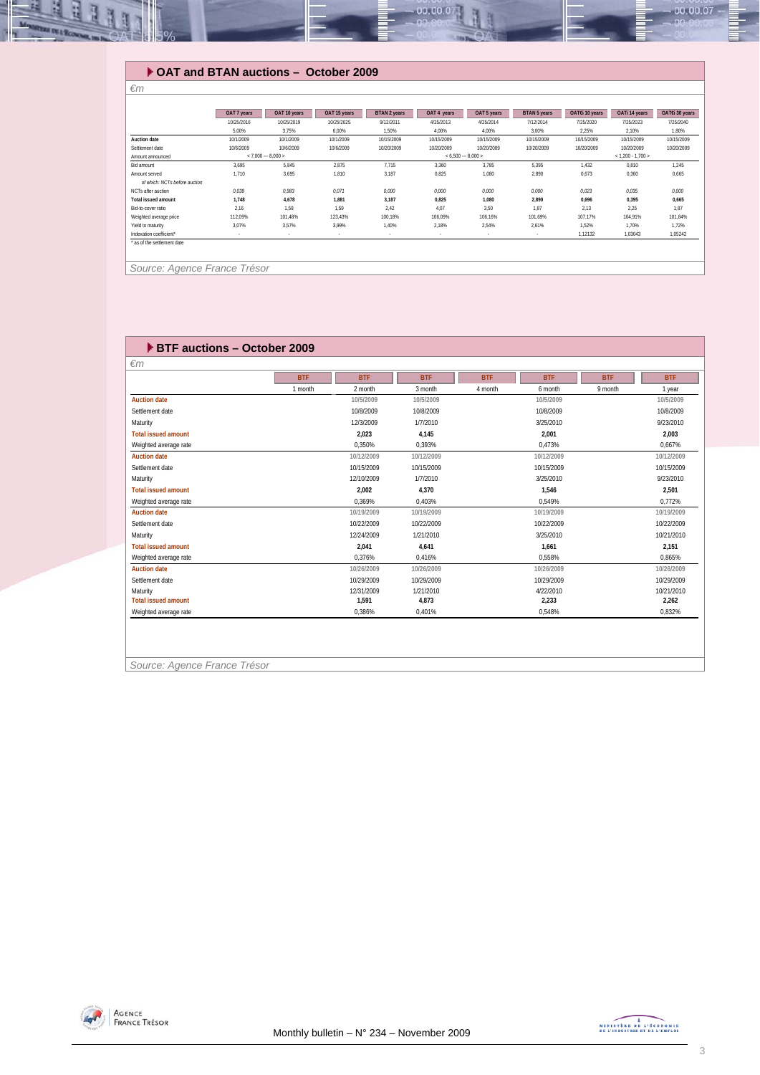

# **OAT and BTAN auctions – October 2009**

|                               | OAT 7 years                                | OAT 10 years | OAT 15 years | <b>BTAN 2 years</b> | OAT 4 years         | OAT 5 years | <b>BTAN 5 years</b> | OATEi 10 years | OATi 14 years | OATEi 30 years |
|-------------------------------|--------------------------------------------|--------------|--------------|---------------------|---------------------|-------------|---------------------|----------------|---------------|----------------|
|                               | 10/25/2016                                 | 10/25/2019   | 10/25/2025   | 9/12/2011           | 4/25/2013           | 4/25/2014   | 7/12/2014           | 7/25/2020      | 7/25/2023     | 7/25/2040      |
|                               | 5,00%                                      | 3,75%        | 6,00%        | 1,50%               | 4,00%               | 4,00%       | 3,00%               | 2,25%          | 2,10%         | 1,80%          |
| Auction date                  | 10/1/2009                                  | 10/1/2009    | 10/1/2009    | 10/15/2009          | 10/15/2009          | 10/15/2009  | 10/15/2009          | 10/15/2009     | 10/15/2009    | 10/15/2009     |
| Settlement date               | 10/6/2009                                  | 10/6/2009    | 10/6/2009    | 10/20/2009          | 10/20/2009          | 10/20/2009  | 10/20/2009          | 10/20/2009     | 10/20/2009    | 10/20/2009     |
| Amount announced              | $< 7.000 - 8.000 >$<br>$< 6.500 - 8.000 >$ |              |              |                     | $< 1.200 - 1.700 >$ |             |                     |                |               |                |
| Bid amount                    | 3,695                                      | 5,845        | 2,875        | 7,715               | 3.360               | 3.785       | 5,395               | 1,432          | 0,810         | 1,245          |
| Amount served                 | 1.710                                      | 3.695        | 1,810        | 3,187               | 0,825               | 1.080       | 2,890               | 0.673          | 0,360         | 0,665          |
| of which: NCTs before auction |                                            |              |              |                     |                     |             |                     |                |               |                |
| NCTs after auction            | 0,038                                      | 0,983        | 0,071        | 0,000               | 0,000               | 0,000       | 0,000               | 0,023          | 0,035         | 0,000          |
| <b>Total issued amount</b>    | 1.748                                      | 4,678        | 1.881        | 3,187               | 0,825               | 1.080       | 2,890               | 0,696          | 0,395         | 0,665          |
| Bid-to-cover ratio            | 2,16                                       | 1,58         | 1,59         | 2,42                | 4,07                | 3,50        | 1,87                | 2,13           | 2,25          | 1,87           |
| Weighted average price        | 112,09%                                    | 101.48%      | 123,43%      | 100,18%             | 106.09%             | 106.16%     | 101,69%             | 107,17%        | 104,91%       | 101,84%        |
| Yield to maturity             | 3.07%                                      | 3,57%        | 3.99%        | 1,40%               | 2,18%               | 2,54%       | 2,61%               | 1,52%          | 1,70%         | 1,72%          |
| Indexation coefficient*       | $\sim$                                     |              | $\sim$       |                     |                     |             | $\cdot$             | 1,12132        | 1,03043       | 1,05242        |

 *Source: Agence France Trésor* 

| <b>EXTERNATION BLACK BRIDGE BUDGER</b> |            |            |            |            |            |            |            |
|----------------------------------------|------------|------------|------------|------------|------------|------------|------------|
| $\epsilon$ m                           |            |            |            |            |            |            |            |
|                                        | <b>BTF</b> | <b>BTF</b> | <b>BTF</b> | <b>BTF</b> | <b>BTF</b> | <b>BTF</b> | <b>BTF</b> |
|                                        | 1 month    | 2 month    | 3 month    | 4 month    | 6 month    | 9 month    | 1 year     |
| <b>Auction date</b>                    |            | 10/5/2009  | 10/5/2009  |            | 10/5/2009  |            | 10/5/2009  |
| Settlement date                        |            | 10/8/2009  | 10/8/2009  |            | 10/8/2009  |            | 10/8/2009  |
| Maturity                               |            | 12/3/2009  | 1/7/2010   |            | 3/25/2010  |            | 9/23/2010  |
| <b>Total issued amount</b>             |            | 2,023      | 4,145      |            | 2,001      |            | 2,003      |
| Weighted average rate                  |            | 0.350%     | 0.393%     |            | 0.473%     |            | 0.667%     |
| <b>Auction date</b>                    |            | 10/12/2009 | 10/12/2009 |            | 10/12/2009 |            | 10/12/2009 |
| Settlement date                        |            | 10/15/2009 | 10/15/2009 |            | 10/15/2009 |            | 10/15/2009 |
| Maturity                               |            | 12/10/2009 | 1/7/2010   |            | 3/25/2010  |            | 9/23/2010  |
| <b>Total issued amount</b>             |            | 2.002      | 4.370      |            | 1.546      |            | 2.501      |
| Weighted average rate                  |            | 0.369%     | 0.403%     |            | 0.549%     |            | 0.772%     |
| <b>Auction date</b>                    |            | 10/19/2009 | 10/19/2009 |            | 10/19/2009 |            | 10/19/2009 |
| Settlement date                        |            | 10/22/2009 | 10/22/2009 |            | 10/22/2009 |            | 10/22/2009 |
| Maturity                               |            | 12/24/2009 | 1/21/2010  |            | 3/25/2010  |            | 10/21/2010 |
| <b>Total issued amount</b>             |            | 2.041      | 4.641      |            | 1.661      |            | 2.151      |
| Weighted average rate                  |            | 0.376%     | 0.416%     |            | 0.558%     |            | 0.865%     |
| <b>Auction date</b>                    |            | 10/26/2009 | 10/26/2009 |            | 10/26/2009 |            | 10/26/2009 |
| Settlement date                        |            | 10/29/2009 | 10/29/2009 |            | 10/29/2009 |            | 10/29/2009 |
| Maturity                               |            | 12/31/2009 | 1/21/2010  |            | 4/22/2010  |            | 10/21/2010 |
| <b>Total issued amount</b>             |            | 1.591      | 4.873      |            | 2.233      |            | 2.262      |
| Weighted average rate                  |            | 0.386%     | 0.401%     |            | 0.548%     |            | 0.832%     |

*Source: Agence France Trésor* 

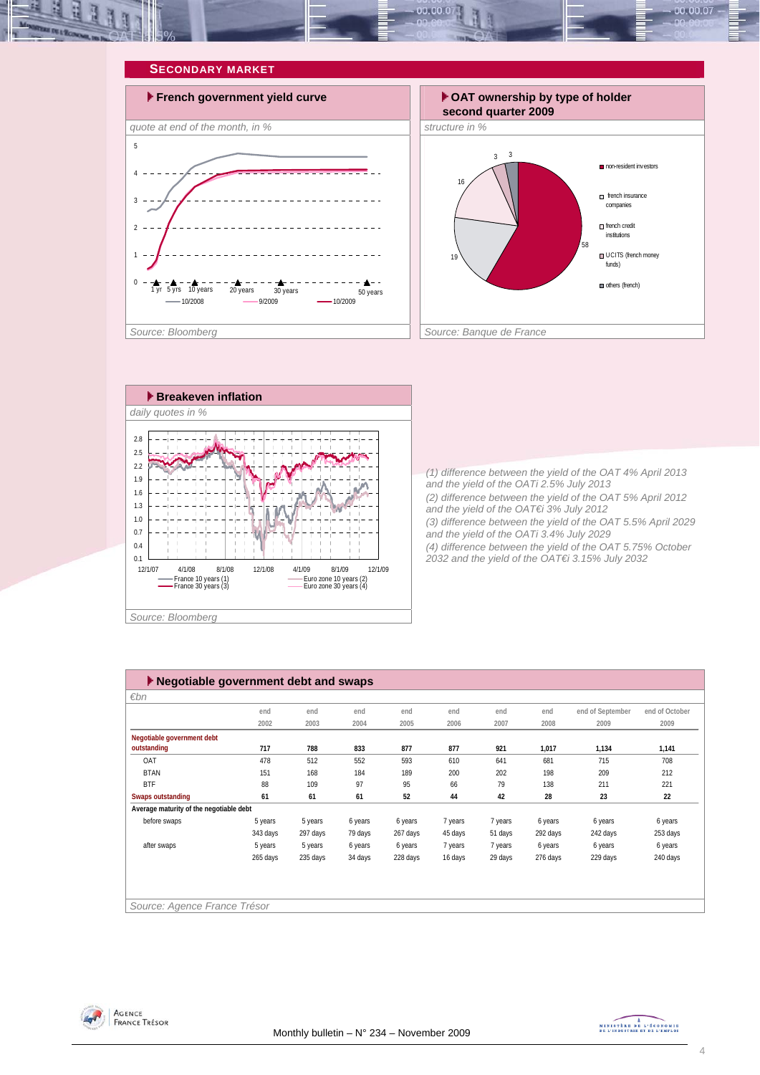







*(1) difference between the yield of the OAT 4% April 2013 and the yield of the OATi 2.5% July 2013 (2) difference between the yield of the OAT 5% April 2012 and the yield of the OAT€i 3% July 2012 (3) difference between the yield of the OAT 5.5% April 2029 and the yield of the OATi 3.4% July 2029 (4) difference between the yield of the OAT 5.75% October 2032 and the yield of the OAT€i 3.15% July 2032* 

| $\blacktriangleright$ Negotiable government debt and swaps |          |          |         |          |         |         |          |                  |                |  |
|------------------------------------------------------------|----------|----------|---------|----------|---------|---------|----------|------------------|----------------|--|
| $\varepsilon$ bn                                           |          |          |         |          |         |         |          |                  |                |  |
|                                                            | end      | end      | end     | end      | end     | end     | end      | end of September | end of October |  |
|                                                            | 2002     | 2003     | 2004    | 2005     | 2006    | 2007    | 2008     | 2009             | 2009           |  |
| Negotiable government debt                                 |          |          |         |          |         |         |          |                  |                |  |
| outstanding                                                | 717      | 788      | 833     | 877      | 877     | 921     | 1,017    | 1,134            | 1,141          |  |
| OAT                                                        | 478      | 512      | 552     | 593      | 610     | 641     | 681      | 715              | 708            |  |
| <b>BTAN</b>                                                | 151      | 168      | 184     | 189      | 200     | 202     | 198      | 209              | 212            |  |
| <b>BTF</b>                                                 | 88       | 109      | 97      | 95       | 66      | 79      | 138      | 211              | 221            |  |
| Swaps outstanding                                          | 61       | 61       | 61      | 52       | 44      | 42      | 28       | 23               | 22             |  |
| Average maturity of the negotiable debt                    |          |          |         |          |         |         |          |                  |                |  |
| before swaps                                               | 5 years  | 5 years  | 6 years | 6 years  | 7 years | 7 years | 6 years  | 6 years          | 6 years        |  |
|                                                            | 343 days | 297 days | 79 days | 267 days | 45 days | 51 days | 292 days | 242 days         | 253 days       |  |
| after swaps                                                | 5 years  | 5 years  | 6 years | 6 years  | 7 years | 7 years | 6 years  | 6 years          | 6 years        |  |
|                                                            | 265 days | 235 days | 34 days | 228 days | 16 days | 29 days | 276 days | 229 days         | 240 days       |  |
|                                                            |          |          |         |          |         |         |          |                  |                |  |
|                                                            |          |          |         |          |         |         |          |                  |                |  |
|                                                            |          |          |         |          |         |         |          |                  |                |  |
| Source: Agence France Trésor                               |          |          |         |          |         |         |          |                  |                |  |



MINISTRE DE L'ÉCONOMIE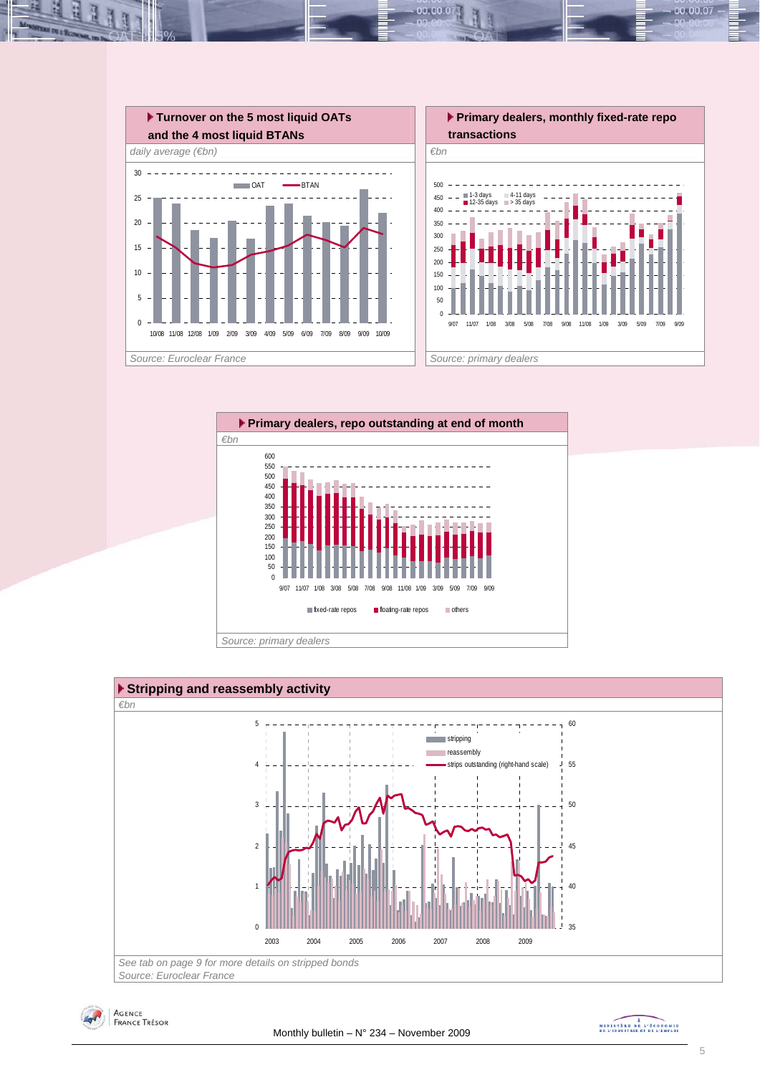

 $00.00.0$ 







MINISTRE DE L'ÉCONOMIE

00.00.07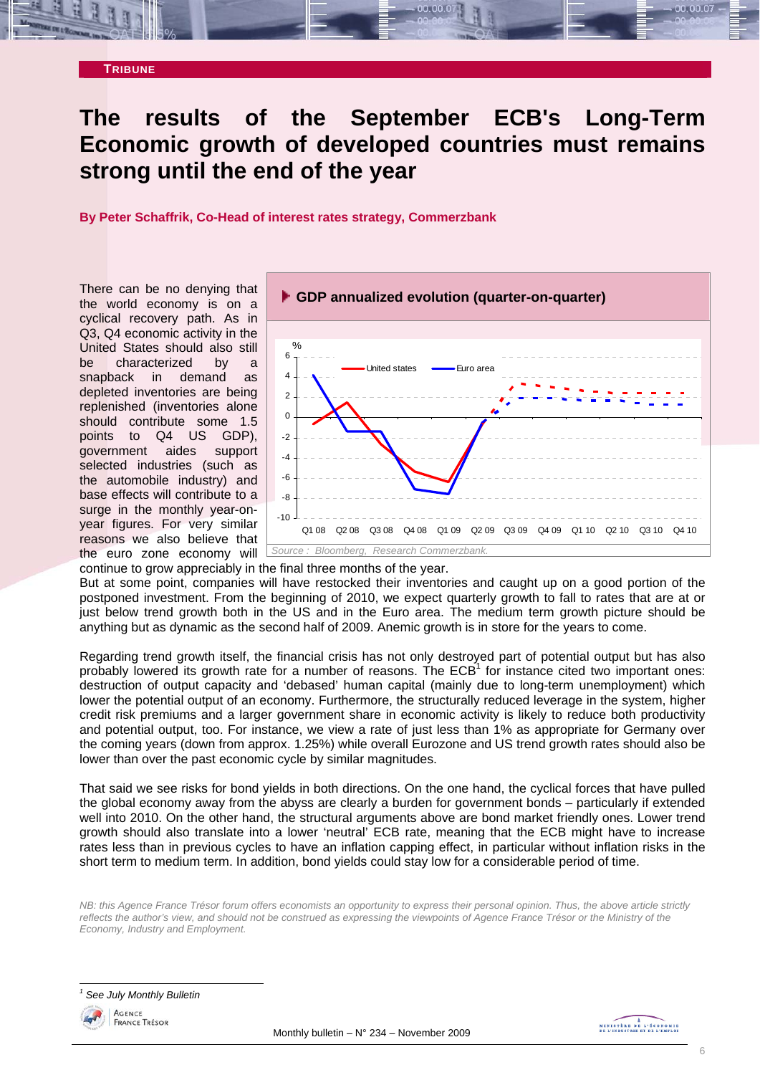

# **The results of the September ECB's Long-Term Economic growth of developed countries must remains strong until the end of the year**

**By Peter Schaffrik, Co-Head of interest rates strategy, Commerzbank**

There can be no denying that the world economy is on a cyclical recovery path. As in Q3, Q4 economic activity in the United States should also still be characterized by a snapback in demand as depleted inventories are being replenished (inventories alone should contribute some 1.5 points to Q4 US GDP), government aides support selected industries (such as the automobile industry) and base effects will contribute to a surge in the monthly year-onyear figures. For very similar reasons we also believe that the euro zone economy will



continue to grow appreciably in the final three months of the year. But at some point, companies will have restocked their inventories and caught up on a good portion of the postponed investment. From the beginning of 2010, we expect quarterly growth to fall to rates that are at or just below trend growth both in the US and in the Euro area. The medium term growth picture should be

anything but as dynamic as the second half of 2009. Anemic growth is in store for the years to come.

Regarding trend growth itself, the financial crisis has not only destroyed part of potential output but has also probably lowered its growth rate for a number of reasons. The ECB<sup>1</sup> for instance cited two important ones: destruction of output capacity and 'debased' human capital (mainly due to long-term unemployment) which lower the potential output of an economy. Furthermore, the structurally reduced leverage in the system, higher credit risk premiums and a larger government share in economic activity is likely to reduce both productivity and potential output, too. For instance, we view a rate of just less than 1% as appropriate for Germany over the coming years (down from approx. 1.25%) while overall Eurozone and US trend growth rates should also be lower than over the past economic cycle by similar magnitudes.

That said we see risks for bond yields in both directions. On the one hand, the cyclical forces that have pulled the global economy away from the abyss are clearly a burden for government bonds – particularly if extended well into 2010. On the other hand, the structural arguments above are bond market friendly ones. Lower trend growth should also translate into a lower 'neutral' ECB rate, meaning that the ECB might have to increase rates less than in previous cycles to have an inflation capping effect, in particular without inflation risks in the short term to medium term. In addition, bond yields could stay low for a considerable period of time.

*NB: this Agence France Trésor forum offers economists an opportunity to express their personal opinion. Thus, the above article strictly reflects the author's view, and should not be construed as expressing the viewpoints of Agence France Trésor or the Ministry of the Economy, Industry and Employment.* 

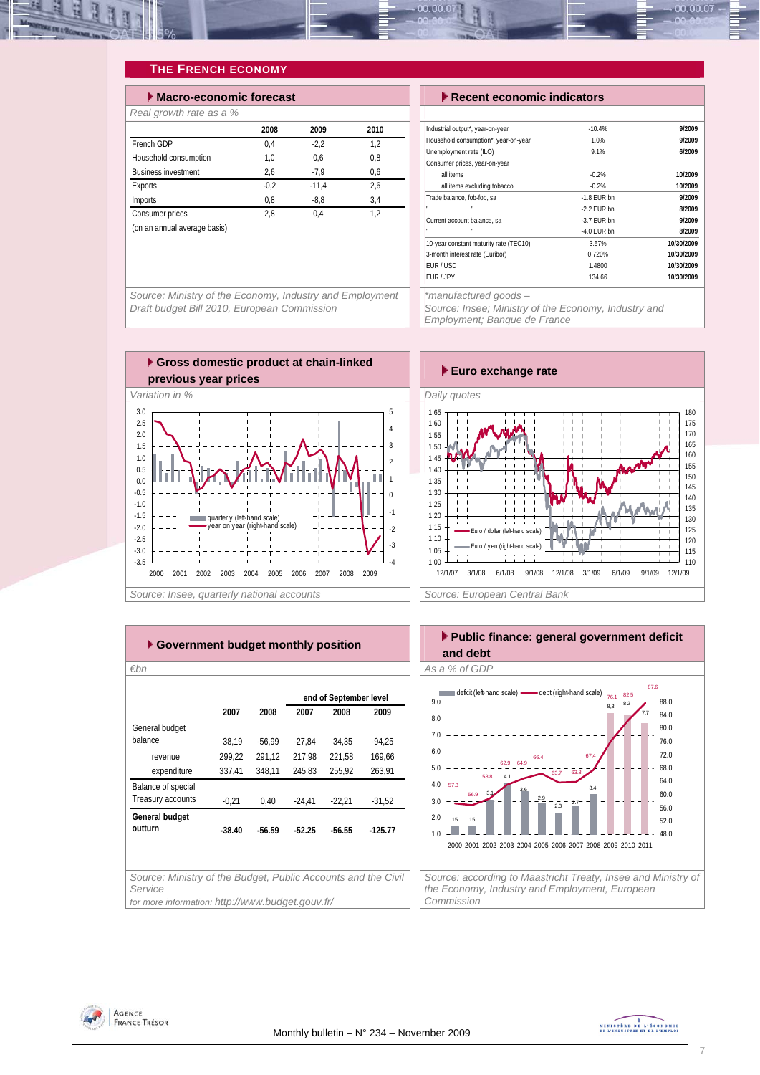

# **THE FRENCH ECONOMY**

| $\blacktriangleright$ Macro-economic forecast |        |         |      |  |  |  |  |  |
|-----------------------------------------------|--------|---------|------|--|--|--|--|--|
| Real growth rate as a %                       |        |         |      |  |  |  |  |  |
|                                               | 2008   | 2009    | 2010 |  |  |  |  |  |
| French GDP                                    | 0.4    | $-2.2$  | 1.2  |  |  |  |  |  |
| Household consumption                         | 1.0    | 0.6     | 0.8  |  |  |  |  |  |
| <b>Business investment</b>                    | 2,6    | $-7,9$  | 0.6  |  |  |  |  |  |
| Exports                                       | $-0.2$ | $-11.4$ | 2.6  |  |  |  |  |  |
| Imports                                       | 0.8    | $-8.8$  | 3.4  |  |  |  |  |  |
| Consumer prices                               | 2.8    | 0.4     | 1.2  |  |  |  |  |  |
| (on an annual average basis)                  |        |         |      |  |  |  |  |  |
|                                               |        |         |      |  |  |  |  |  |

**Execute economic indicators** 

| Industrial output*, year-on-year       | $-10.4%$      | 9/2009     |
|----------------------------------------|---------------|------------|
| Household consumption*, year-on-year   | 1.0%          | 9/2009     |
| Unemployment rate (ILO)                | 9.1%          | 6/2009     |
| Consumer prices, year-on-year          |               |            |
| all items                              | $-0.2%$       | 10/2009    |
| all items excluding tobacco            | $-0.2%$       | 10/2009    |
| Trade balance, fob-fob, sa             | $-1.8$ FUR bn | 9/2009     |
|                                        | $-2.2$ FUR bn | 8/2009     |
| Current account balance, sa            | $-3.7$ FUR bn | 9/2009     |
| n,<br>n.                               | $-4.0$ EUR bn | 8/2009     |
| 10-year constant maturity rate (TEC10) | 3.57%         | 10/30/2009 |
| 3-month interest rate (Euribor)        | 0.720%        | 10/30/2009 |
| EUR/USD                                | 1.4800        | 10/30/2009 |
| EUR / JPY                              | 134.66        | 10/30/2009 |

*Source: Ministry of the Economy, Industry and Employment Draft budget Bill 2010, European Commission* 



*Employment; Banque de France* 



| ► Government budget monthly position                                     |          |          |          |                        |           |  |  |  |  |
|--------------------------------------------------------------------------|----------|----------|----------|------------------------|-----------|--|--|--|--|
| €bn                                                                      |          |          |          |                        |           |  |  |  |  |
|                                                                          |          |          |          | end of September level |           |  |  |  |  |
|                                                                          | 2007     | 2008     | 2007     | 2008                   | 2009      |  |  |  |  |
| General budget                                                           |          |          |          |                        |           |  |  |  |  |
| balance                                                                  | $-38,19$ | $-56.99$ | $-27.84$ | $-34.35$               | $-94.25$  |  |  |  |  |
| revenue                                                                  | 299.22   | 291,12   | 217.98   | 221.58                 | 169.66    |  |  |  |  |
| expenditure                                                              | 337,41   | 348,11   | 245,83   | 255,92                 | 263,91    |  |  |  |  |
| Balance of special                                                       |          |          |          |                        |           |  |  |  |  |
| Treasury accounts                                                        | $-0.21$  | 0.40     | $-24,41$ | $-22,21$               | $-31,52$  |  |  |  |  |
| General budget                                                           |          |          |          |                        |           |  |  |  |  |
| outturn                                                                  | $-38.40$ | $-56.59$ | $-52.25$ | $-56.55$               | $-125.77$ |  |  |  |  |
|                                                                          |          |          |          |                        |           |  |  |  |  |
|                                                                          |          |          |          |                        |           |  |  |  |  |
| Source: Ministry of the Budget, Public Accounts and the Civil<br>Service |          |          |          |                        |           |  |  |  |  |
| for more information: http://www.budget.gouv.fr/                         |          |          |          |                        |           |  |  |  |  |





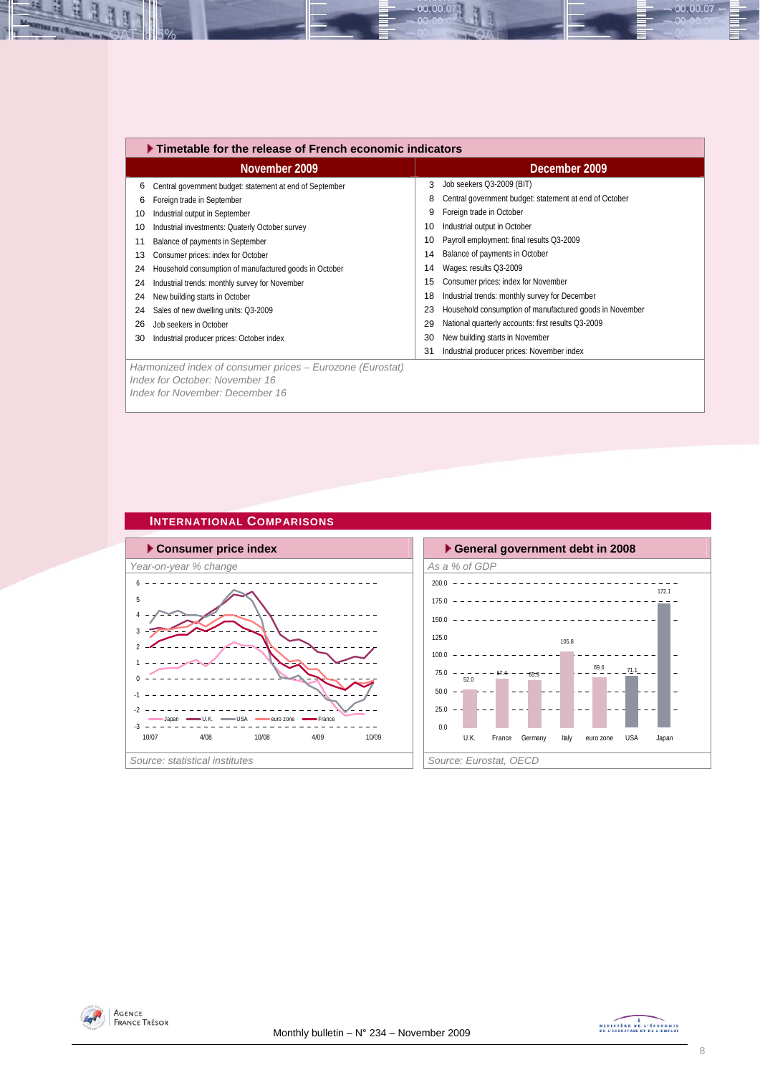|    | $\blacktriangleright$ Timetable for the release of French economic indicators |               |                                                         |  |  |  |  |  |  |
|----|-------------------------------------------------------------------------------|---------------|---------------------------------------------------------|--|--|--|--|--|--|
|    | November 2009                                                                 | December 2009 |                                                         |  |  |  |  |  |  |
| 6  | Central government budget: statement at end of September                      | 3             | Job seekers Q3-2009 (BIT)                               |  |  |  |  |  |  |
| 6  | Foreign trade in September                                                    | 8             | Central government budget: statement at end of October  |  |  |  |  |  |  |
| 10 | Industrial output in September                                                | 9             | Foreign trade in October                                |  |  |  |  |  |  |
| 10 | Industrial investments: Quaterly October survey                               | 10            | Industrial output in October                            |  |  |  |  |  |  |
| 11 | Balance of payments in September                                              | 10            | Payroll employment: final results Q3-2009               |  |  |  |  |  |  |
| 13 | Consumer prices: index for October                                            | 14            | Balance of payments in October                          |  |  |  |  |  |  |
| 24 | Household consumption of manufactured goods in October                        | 14            | Wages: results Q3-2009                                  |  |  |  |  |  |  |
| 24 | Industrial trends: monthly survey for November                                | 15            | Consumer prices: index for November                     |  |  |  |  |  |  |
| 24 | New building starts in October                                                | 18            | Industrial trends: monthly survey for December          |  |  |  |  |  |  |
| 24 | Sales of new dwelling units: Q3-2009                                          | 23            | Household consumption of manufactured goods in November |  |  |  |  |  |  |
| 26 | Job seekers in October                                                        | 29            | National quarterly accounts: first results Q3-2009      |  |  |  |  |  |  |
| 30 | Industrial producer prices: October index                                     | 30            | New building starts in November                         |  |  |  |  |  |  |
|    |                                                                               | 31            | Industrial producer prices: November index              |  |  |  |  |  |  |
|    | Harmonized index of consumer prices – Eurozone (Eurostat)                     |               |                                                         |  |  |  |  |  |  |
|    | Index for October: November 16                                                |               |                                                         |  |  |  |  |  |  |

00.00.07

*Index for November: December 16* 

### **INTERNATIONAL COMPARISONS**







00.00.07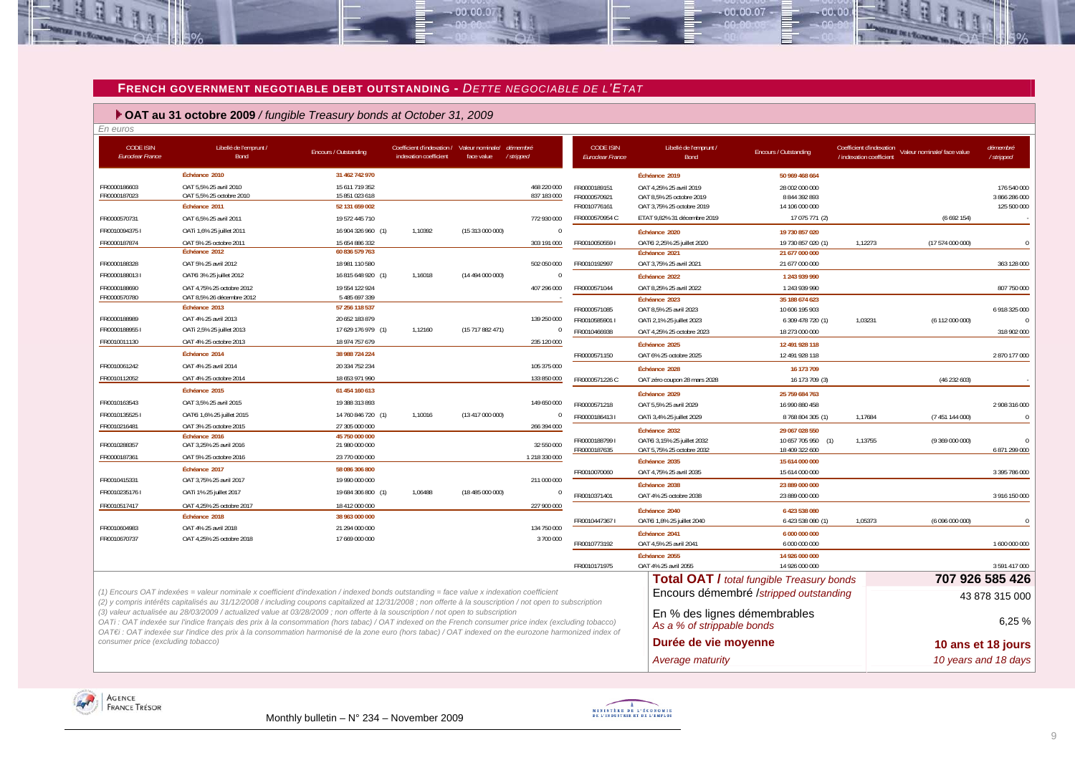#### **FRENCH GOVERNMENT NEGOTIABLE DEBT OUTSTANDING -** *DETTE NEGOCIABLE DE L'ETAT*

 $-00,00,00$ 

 **OAT au 31 octobre 2009** */ fungible Treasury bonds at October 31, 2009*

| En euros                                                                                                                                                                                                                                                                                             |                                                                                                                                                                                                                                                                                                                                                                                                                                                                                                               |                                  |                                                                                |                  |                |                                      |                                                                                            |                                         |                                                      |                             |                        |
|------------------------------------------------------------------------------------------------------------------------------------------------------------------------------------------------------------------------------------------------------------------------------------------------------|---------------------------------------------------------------------------------------------------------------------------------------------------------------------------------------------------------------------------------------------------------------------------------------------------------------------------------------------------------------------------------------------------------------------------------------------------------------------------------------------------------------|----------------------------------|--------------------------------------------------------------------------------|------------------|----------------|--------------------------------------|--------------------------------------------------------------------------------------------|-----------------------------------------|------------------------------------------------------|-----------------------------|------------------------|
| <b>CODE ISIN</b><br><b>Euroclear France</b>                                                                                                                                                                                                                                                          | Libellé de l'emprunt /<br>Bond                                                                                                                                                                                                                                                                                                                                                                                                                                                                                | Encours / Outstanding            | Coefficient d'indexation / Valeur nominale/ démembré<br>indexation coefficient | face value       | /stripped      | <b>CODE ISIN</b><br>Euroclear France | Libellé de l'emprunt /<br>Bond                                                             | Encours / Outstanding                   | Coefficient d'indexation<br>/ indexation coefficient | Valeur nominale/ face value | démembré<br>/ stripped |
|                                                                                                                                                                                                                                                                                                      | Échéance 2010                                                                                                                                                                                                                                                                                                                                                                                                                                                                                                 | 31 462 742 970                   |                                                                                |                  |                |                                      | Échéance 2019                                                                              | 50 969 468 664                          |                                                      |                             |                        |
| FR0000186603                                                                                                                                                                                                                                                                                         | OAT 5.5% 25 avril 2010                                                                                                                                                                                                                                                                                                                                                                                                                                                                                        | 15 611 719 352                   |                                                                                |                  | 468 220 000    | FR0000189151                         | OAT 4.25% 25 avril 2019                                                                    | 28 002 000 000                          |                                                      |                             | 176 540 000            |
| FR0000187023                                                                                                                                                                                                                                                                                         | OAT 5,5% 25 octobre 2010                                                                                                                                                                                                                                                                                                                                                                                                                                                                                      | 15 851 023 618                   |                                                                                |                  | 837 183 000    | FR0000570921                         | OAT 8,5% 25 octobre 2019                                                                   | 8 844 392 893                           |                                                      |                             | 3 866 286 000          |
|                                                                                                                                                                                                                                                                                                      | Échéance 2011                                                                                                                                                                                                                                                                                                                                                                                                                                                                                                 | 52 131 659 002                   |                                                                                |                  |                | FR0010776161                         | OAT 3,75% 25 octobre 2019                                                                  | 14 106 000 000                          |                                                      |                             | 125 500 000            |
| FR0000570731                                                                                                                                                                                                                                                                                         | OAT 6,5% 25 avril 2011                                                                                                                                                                                                                                                                                                                                                                                                                                                                                        | 19 572 445 710                   |                                                                                |                  | 772 930 000    | FR0000570954 C                       | ETAT 9,82% 31 décembre 2019                                                                | 17 075 771 (2)                          |                                                      | (6692154)                   |                        |
| FR00100943751                                                                                                                                                                                                                                                                                        | OATi 1,6% 25 juillet 2011                                                                                                                                                                                                                                                                                                                                                                                                                                                                                     | 16 904 326 960 (1)               | 1,10392                                                                        | (15 313 000 000) | $\Omega$       |                                      | Échéance 2020                                                                              | 19 730 857 020                          |                                                      |                             |                        |
| FR0000187874                                                                                                                                                                                                                                                                                         | OAT 5% 25 octobre 2011<br>Échéance 2012                                                                                                                                                                                                                                                                                                                                                                                                                                                                       | 15 654 886 332<br>60 836 579 763 |                                                                                |                  | 303 191 000    | FR0010050559                         | OATEi 2,25% 25 juillet 2020                                                                | 19 730 857 020 (1)                      | 1,12273                                              | (17574000000)               | $\Omega$               |
| FR0000188328                                                                                                                                                                                                                                                                                         | OAT 5% 25 avril 2012                                                                                                                                                                                                                                                                                                                                                                                                                                                                                          | 18 981 110 580                   |                                                                                |                  | 502 050 000    | FR0010192997                         | Échéance 2021<br>OAT 3,75% 25 avril 2021                                                   | 21 677 000 000<br>21 677 000 000        |                                                      |                             | 363 128 000            |
| FR00001880131                                                                                                                                                                                                                                                                                        | OATEI 3% 25 juillet 2012                                                                                                                                                                                                                                                                                                                                                                                                                                                                                      | 16 815 648 920 (1)               | 1,16018                                                                        | (14 494 000 000) | $\overline{0}$ |                                      |                                                                                            |                                         |                                                      |                             |                        |
| FR0000188690                                                                                                                                                                                                                                                                                         | OAT 4,75% 25 octobre 2012                                                                                                                                                                                                                                                                                                                                                                                                                                                                                     | 19 554 122 924                   |                                                                                |                  | 407 296 000    | FR0000571044                         | Échéance 2022<br>OAT 8,25% 25 avril 2022                                                   | 1 243 939 990<br>1 243 939 990          |                                                      |                             | 807 750 000            |
| FR0000570780                                                                                                                                                                                                                                                                                         | OAT 8.5% 26 décembre 2012                                                                                                                                                                                                                                                                                                                                                                                                                                                                                     | 5 485 697 339                    |                                                                                |                  |                |                                      | Échéance 2023                                                                              | 35 188 674 623                          |                                                      |                             |                        |
|                                                                                                                                                                                                                                                                                                      | Échéance 2013                                                                                                                                                                                                                                                                                                                                                                                                                                                                                                 | 57 256 118 537                   |                                                                                |                  |                | FR0000571085                         | OAT 8,5% 25 avril 2023                                                                     | 10 606 195 903                          |                                                      |                             | 6 918 325 000          |
| FR0000188989                                                                                                                                                                                                                                                                                         | OAT 4% 25 avril 2013                                                                                                                                                                                                                                                                                                                                                                                                                                                                                          | 20 652 183 879                   |                                                                                |                  | 139 250 000    | FR0010585901 I                       | OATi 2,1% 25 juillet 2023                                                                  | 6 309 478 720 (1)                       | 1,03231                                              | (6 112 000 000)             | $\sqrt{ }$             |
| FR00001889551                                                                                                                                                                                                                                                                                        | OATi 2,5% 25 juillet 2013                                                                                                                                                                                                                                                                                                                                                                                                                                                                                     | 17 629 176 979 (1)               | 1,12160                                                                        | (15717882471)    | $\mathbf{0}$   | FR0010466938                         | OAT 4,25% 25 octobre 2023                                                                  | 18 273 000 000                          |                                                      |                             | 318 902 000            |
| FR0010011130                                                                                                                                                                                                                                                                                         | OAT 4% 25 octobre 2013                                                                                                                                                                                                                                                                                                                                                                                                                                                                                        | 18 974 757 679                   |                                                                                |                  | 235 120 000    |                                      | Échéance 2025                                                                              | 12 491 928 118                          |                                                      |                             |                        |
|                                                                                                                                                                                                                                                                                                      | Échéance 2014                                                                                                                                                                                                                                                                                                                                                                                                                                                                                                 | 38 988 724 224                   |                                                                                |                  |                | FR0000571150                         | OAT 6% 25 octobre 2025                                                                     | 12 491 928 118                          |                                                      |                             | 2870177000             |
| FR0010061242                                                                                                                                                                                                                                                                                         | OAT 4% 25 avril 2014                                                                                                                                                                                                                                                                                                                                                                                                                                                                                          | 20 334 752 234                   |                                                                                |                  | 105 375 000    |                                      | Échéance 2028                                                                              | 16 173 709                              |                                                      |                             |                        |
| FR0010112052                                                                                                                                                                                                                                                                                         | OAT 4% 25 octobre 2014                                                                                                                                                                                                                                                                                                                                                                                                                                                                                        | 18 653 971 990                   |                                                                                |                  | 133 850 000    | FR0000571226 C                       | OAT zéro coupon 28 mars 2028                                                               | 16 173 709 (3)                          |                                                      | (46232603)                  |                        |
|                                                                                                                                                                                                                                                                                                      | Échéance 2015                                                                                                                                                                                                                                                                                                                                                                                                                                                                                                 | 61 454 160 613                   |                                                                                |                  |                |                                      |                                                                                            |                                         |                                                      |                             |                        |
| FR0010163543                                                                                                                                                                                                                                                                                         | OAT 3,5% 25 avril 2015                                                                                                                                                                                                                                                                                                                                                                                                                                                                                        | 19 388 313 893                   |                                                                                |                  | 149 650 000    | FR0000571218                         | Échéance 2029<br>OAT 5,5% 25 avril 2029                                                    | 25 759 684 763<br>16 990 880 458        |                                                      |                             | 2 908 316 000          |
| FR00101355251                                                                                                                                                                                                                                                                                        | OATEI 1,6% 25 juillet 2015                                                                                                                                                                                                                                                                                                                                                                                                                                                                                    | 14 760 846 720 (1)               | 1,10016                                                                        | (13417000000)    | $\overline{0}$ | FR00001864131                        | OATi 3,4% 25 juillet 2029                                                                  | 8 768 804 305 (1)                       | 1,17684                                              | (7 451 144 000)             | $\Omega$               |
| FR0010216481                                                                                                                                                                                                                                                                                         | OAT 3% 25 octobre 2015                                                                                                                                                                                                                                                                                                                                                                                                                                                                                        | 27 305 000 000                   |                                                                                |                  | 266 394 000    |                                      |                                                                                            |                                         |                                                      |                             |                        |
|                                                                                                                                                                                                                                                                                                      | Échéance 2016                                                                                                                                                                                                                                                                                                                                                                                                                                                                                                 | 45 750 000 000                   |                                                                                |                  |                |                                      | Échéance 2032                                                                              | 29 067 028 550                          |                                                      |                             |                        |
| FR0010288357                                                                                                                                                                                                                                                                                         | OAT 3,25% 25 avril 2016                                                                                                                                                                                                                                                                                                                                                                                                                                                                                       | 21 980 000 000                   |                                                                                |                  | 32 550 000     | FR00001887991<br>FR0000187635        | OATEI 3,15% 25 juillet 2032<br>OAT 5,75% 25 octobre 2032                                   | 10 657 705 950<br>(1)<br>18 409 322 600 | 1,13755                                              | (9369000000)                | 6 871 299 000          |
| FR0000187361                                                                                                                                                                                                                                                                                         | OAT 5% 25 octobre 2016                                                                                                                                                                                                                                                                                                                                                                                                                                                                                        | 23 770 000 000                   |                                                                                |                  | 1 218 330 000  |                                      | Échéance 2035                                                                              | 15 614 000 000                          |                                                      |                             |                        |
|                                                                                                                                                                                                                                                                                                      | Échéance 2017                                                                                                                                                                                                                                                                                                                                                                                                                                                                                                 | 58 086 306 800                   |                                                                                |                  |                | FR0010070060                         | OAT 4,75% 25 avril 2035                                                                    | 15 614 000 000                          |                                                      |                             | 3 395 786 000          |
| FR0010415331                                                                                                                                                                                                                                                                                         | OAT 3,75% 25 avril 2017                                                                                                                                                                                                                                                                                                                                                                                                                                                                                       | 19 990 000 000                   |                                                                                |                  | 211 000 000    |                                      | Échéance 2038                                                                              | 23 889 000 000                          |                                                      |                             |                        |
| FR00102351761                                                                                                                                                                                                                                                                                        | OATi 1% 25 juillet 2017                                                                                                                                                                                                                                                                                                                                                                                                                                                                                       | 19 684 306 800 (1)               | 1,06488                                                                        | (18485000000)    | $\overline{0}$ | FR0010371401                         | OAT 4% 25 octobre 2038                                                                     | 23 889 000 000                          |                                                      |                             | 3 916 150 000          |
| FR0010517417                                                                                                                                                                                                                                                                                         | OAT 4.25% 25 octobre 2017                                                                                                                                                                                                                                                                                                                                                                                                                                                                                     | 18 412 000 000                   |                                                                                |                  | 227 900 000    |                                      | Échéance 2040                                                                              | 6 423 538 080                           |                                                      |                             |                        |
|                                                                                                                                                                                                                                                                                                      | Échéance 2018                                                                                                                                                                                                                                                                                                                                                                                                                                                                                                 | 38 963 000 000                   |                                                                                |                  |                | FR00104473671                        | OATEi 1,8% 25 juillet 2040                                                                 | 6 423 538 080 (1)                       | 1,05373                                              | (6096000000)                |                        |
| FR0010604983                                                                                                                                                                                                                                                                                         | OAT 4% 25 avril 2018                                                                                                                                                                                                                                                                                                                                                                                                                                                                                          | 21 294 000 000                   |                                                                                |                  | 134 750 000    |                                      | Échéance 2041                                                                              | 6 000 000 000                           |                                                      |                             |                        |
| FR0010670737                                                                                                                                                                                                                                                                                         | OAT 4.25% 25 octobre 2018                                                                                                                                                                                                                                                                                                                                                                                                                                                                                     | 17 669 000 000                   |                                                                                |                  | 3700000        | FR0010773192                         | OAT 4,5% 25 avril 2041                                                                     | 6 000 000 000                           |                                                      |                             | 1 600 000 000          |
|                                                                                                                                                                                                                                                                                                      |                                                                                                                                                                                                                                                                                                                                                                                                                                                                                                               |                                  |                                                                                |                  |                |                                      | Échéance 2055                                                                              | 14 926 000 000                          |                                                      |                             |                        |
|                                                                                                                                                                                                                                                                                                      |                                                                                                                                                                                                                                                                                                                                                                                                                                                                                                               |                                  |                                                                                |                  |                | FR0010171975                         | OAT 4% 25 avril 2055                                                                       | 14 926 000 000                          |                                                      |                             | 3 591 417 000          |
|                                                                                                                                                                                                                                                                                                      |                                                                                                                                                                                                                                                                                                                                                                                                                                                                                                               |                                  |                                                                                |                  |                |                                      |                                                                                            |                                         |                                                      |                             | 707 926 585 426        |
| (1) Encours OAT indexées = valeur nominale x coefficient d'indexation / indexed bonds outstanding = face value x indexation coefficient<br>(2) y compris intérêts capitalisés au 31/12/2008 / including coupons capitalized at 12/31/2008 ; non offerte à la souscription / not open to subscription |                                                                                                                                                                                                                                                                                                                                                                                                                                                                                                               |                                  |                                                                                |                  |                |                                      | <b>Total OAT / total fungible Treasury bonds</b><br>Encours démembré /stripped outstanding |                                         |                                                      |                             | 43 878 315 000         |
|                                                                                                                                                                                                                                                                                                      | (3) valeur actualisée au 28/03/2009 / actualized value at 03/28/2009 ; non offerte à la souscription / not open to subscription<br>En % des lignes démembrables<br>OATi: OAT indexée sur l'indice français des prix à la consommation (hors tabac) / OAT indexed on the French consumer price index (excluding tobacco)<br>As a % of strippable bonds<br>OAT€i : OAT indexée sur l'indice des prix à la consommation harmonisé de la zone euro (hors tabac) / OAT indexed on the eurozone harmonized index of |                                  |                                                                                |                  |                |                                      |                                                                                            | 6,25 %                                  |                                                      |                             |                        |
| consumer price (excluding tobacco)                                                                                                                                                                                                                                                                   |                                                                                                                                                                                                                                                                                                                                                                                                                                                                                                               |                                  |                                                                                |                  |                |                                      | Durée de vie moyenne                                                                       |                                         |                                                      |                             | 10 ans et 18 jours     |
|                                                                                                                                                                                                                                                                                                      |                                                                                                                                                                                                                                                                                                                                                                                                                                                                                                               |                                  |                                                                                |                  |                |                                      | Average maturity                                                                           |                                         |                                                      |                             | 10 years and 18 days   |





 $.00, 00, 07$ 

nn nn